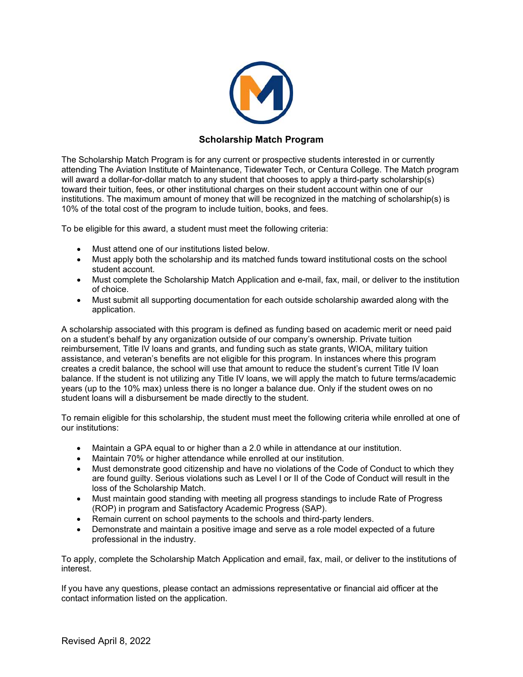

# **Scholarship Match Program**

The Scholarship Match Program is for any current or prospective students interested in or currently attending The Aviation Institute of Maintenance, Tidewater Tech, or Centura College. The Match program will award a dollar-for-dollar match to any student that chooses to apply a third-party scholarship(s) toward their tuition, fees, or other institutional charges on their student account within one of our institutions. The maximum amount of money that will be recognized in the matching of scholarship(s) is 10% of the total cost of the program to include tuition, books, and fees.

To be eligible for this award, a student must meet the following criteria:

- Must attend one of our institutions listed below.
- Must apply both the scholarship and its matched funds toward institutional costs on the school student account.
- Must complete the Scholarship Match Application and e-mail, fax, mail, or deliver to the institution of choice.
- Must submit all supporting documentation for each outside scholarship awarded along with the application.

A scholarship associated with this program is defined as funding based on academic merit or need paid on a student's behalf by any organization outside of our company's ownership. Private tuition reimbursement, Title IV loans and grants, and funding such as state grants, WIOA, military tuition assistance, and veteran's benefits are not eligible for this program. In instances where this program creates a credit balance, the school will use that amount to reduce the student's current Title IV loan balance. If the student is not utilizing any Title IV loans, we will apply the match to future terms/academic years (up to the 10% max) unless there is no longer a balance due. Only if the student owes on no student loans will a disbursement be made directly to the student.

To remain eligible for this scholarship, the student must meet the following criteria while enrolled at one of our institutions:

- Maintain a GPA equal to or higher than a 2.0 while in attendance at our institution.
- Maintain 70% or higher attendance while enrolled at our institution.
- Must demonstrate good citizenship and have no violations of the Code of Conduct to which they are found guilty. Serious violations such as Level I or II of the Code of Conduct will result in the loss of the Scholarship Match.
- Must maintain good standing with meeting all progress standings to include Rate of Progress (ROP) in program and Satisfactory Academic Progress (SAP).
- Remain current on school payments to the schools and third-party lenders.
- Demonstrate and maintain a positive image and serve as a role model expected of a future professional in the industry.

To apply, complete the Scholarship Match Application and email, fax, mail, or deliver to the institutions of interest.

If you have any questions, please contact an admissions representative or financial aid officer at the contact information listed on the application.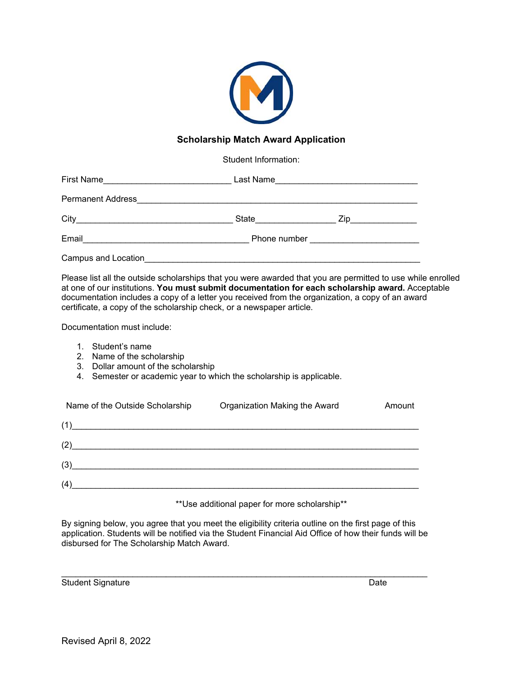

## **Scholarship Match Award Application**

Student Information:

| First Name                                                                         | Last Name    |     |  |
|------------------------------------------------------------------------------------|--------------|-----|--|
| <b>Permanent Address</b>                                                           |              |     |  |
| City<br>the control of the control of the control of the control of the control of | State        | Zip |  |
| Email                                                                              | Phone number |     |  |
| Campus and Location                                                                |              |     |  |

Please list all the outside scholarships that you were awarded that you are permitted to use while enrolled at one of our institutions. **You must submit documentation for each scholarship award.** Acceptable documentation includes a copy of a letter you received from the organization, a copy of an award certificate, a copy of the scholarship check, or a newspaper article.

Documentation must include:

- 1. Student's name
- 2. Name of the scholarship
- 3. Dollar amount of the scholarship
- 4. Semester or academic year to which the scholarship is applicable.

| Name of the Outside Scholarship                                                                                              | Organization Making the Award | Amount |
|------------------------------------------------------------------------------------------------------------------------------|-------------------------------|--------|
| (1)                                                                                                                          |                               |        |
| (2)                                                                                                                          |                               |        |
| (3)                                                                                                                          |                               |        |
| (4)<br><u> 1980 - Johann Barbara, martin amerikan basar dan basa dalam basa dan basa dan basa dan basa dan basa dan basa</u> |                               |        |

\*\*Use additional paper for more scholarship\*\*

By signing below, you agree that you meet the eligibility criteria outline on the first page of this application. Students will be notified via the Student Financial Aid Office of how their funds will be disbursed for The Scholarship Match Award.

Student Signature Date **Date** 

\_\_\_\_\_\_\_\_\_\_\_\_\_\_\_\_\_\_\_\_\_\_\_\_\_\_\_\_\_\_\_\_\_\_\_\_\_\_\_\_\_\_\_\_\_\_\_\_\_\_\_\_\_\_\_\_\_\_\_\_\_\_\_\_\_\_\_\_\_\_\_\_\_\_\_\_\_